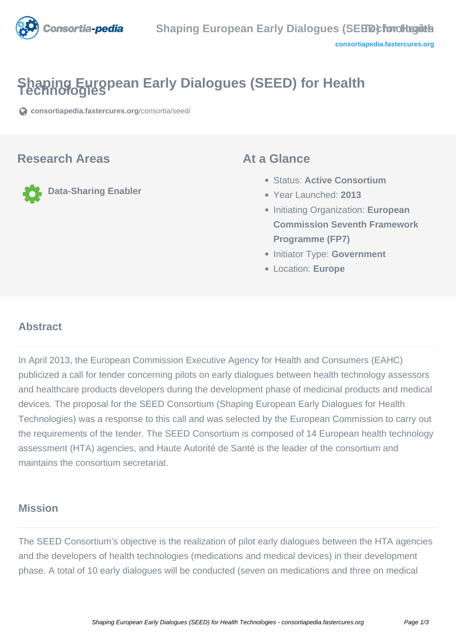

# **Shaping European Early Dialogues (SEED) for Health Technologies**

**[consortiapedia.fastercures.org](https://consortiapedia.fastercures.org/consortia/seed/)**[/consortia/seed/](https://consortiapedia.fastercures.org/consortia/seed/)

#### **Research Areas**

**Data-Sharing Enabler**

#### **At a Glance**

- Status: **Active Consortium**
- Year Launched: **2013**
- Initiating Organization: **European Commission Seventh Framework Programme (FP7)**
- **Initiator Type: Government**
- Location: **Europe**

#### $\overline{a}$ **Abstract**

In April 2013, the European Commission Executive Agency for Health and Consumers (EAHC) publicized a call for tender concerning pilots on early dialogues between health technology assessors and healthcare products developers during the development phase of medicinal products and medical devices. The proposal for the SEED Consortium (Shaping European Early Dialogues for Health Technologies) was a response to this call and was selected by the European Commission to carry out the requirements of the tender. The SEED Consortium is composed of 14 European health technology assessment (HTA) agencies, and Haute Autorité de Santé is the leader of the consortium and maintains the consortium secretariat.

#### **Mission**

The SEED Consortium's objective is the realization of pilot early dialogues between the HTA agencies and the developers of health technologies (medications and medical devices) in their development phase. A total of 10 early dialogues will be conducted (seven on medications and three on medical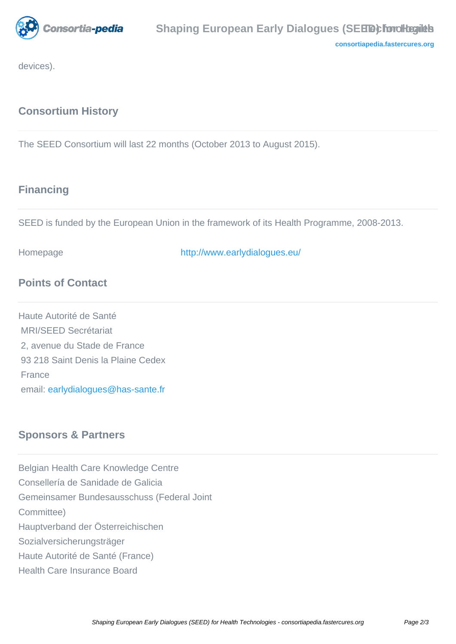

**[consortiapedia.fastercures.org](http://consortiapedia.fastercures.org/)**

devices).

## **Consortium History**

The SEED Consortium will last 22 months (October 2013 to August 2015).

#### **Financing**

SEED is funded by the European Union in the framework of its Health Programme, 2008-2013.

Homepage <http://www.earlydialogues.eu/>

### **Points of Contact**

Haute Autorité de Santé MRI/SEED Secrétariat 2, avenue du Stade de France 93 218 Saint Denis la Plaine Cedex France email: [earlydialogues@has-sante.fr](mailto:earlydialogues@has-sante.fr)

### **Sponsors & Partners**

Belgian Health Care Knowledge Centre Consellería de Sanidade de Galicia Gemeinsamer Bundesausschuss (Federal Joint Committee) Hauptverband der Österreichischen Sozialversicherungsträger Haute Autorité de Santé (France) Health Care Insurance Board